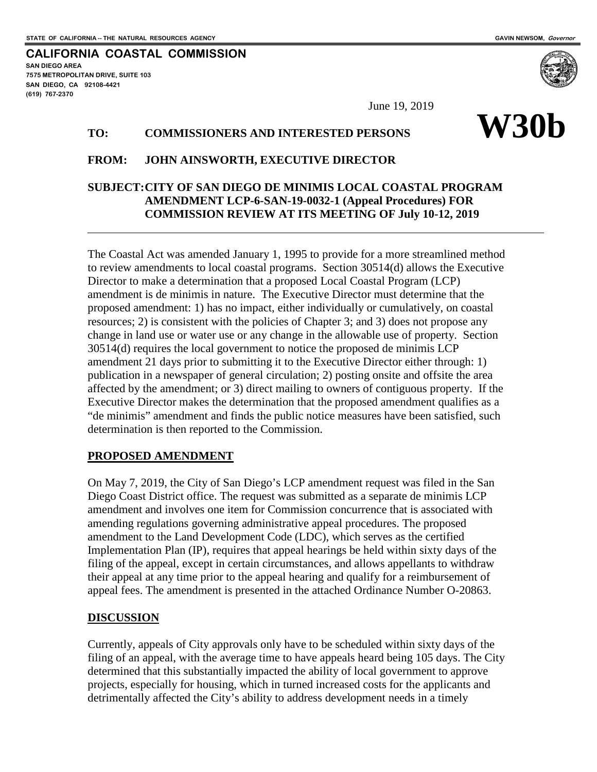**SAN DIEGO AREA**

**(619) 767-2370**

**7575 METROPOLITAN DRIVE, SUITE 103 SAN DIEGO, CA 92108-4421**

 $\overline{a}$ 

**CALIFORNIA COASTAL COMMISSION**

# **W30b** June 19, 2019 **TO: COMMISSIONERS AND INTERESTED PERSONS**

#### **FROM: JOHN AINSWORTH, EXECUTIVE DIRECTOR**

### **SUBJECT:CITY OF SAN DIEGO DE MINIMIS LOCAL COASTAL PROGRAM AMENDMENT LCP-6-SAN-19-0032-1 (Appeal Procedures) FOR COMMISSION REVIEW AT ITS MEETING OF July 10-12, 2019**

The Coastal Act was amended January 1, 1995 to provide for a more streamlined method to review amendments to local coastal programs. Section 30514(d) allows the Executive Director to make a determination that a proposed Local Coastal Program (LCP) amendment is de minimis in nature. The Executive Director must determine that the proposed amendment: 1) has no impact, either individually or cumulatively, on coastal resources; 2) is consistent with the policies of Chapter 3; and 3) does not propose any change in land use or water use or any change in the allowable use of property. Section 30514(d) requires the local government to notice the proposed de minimis LCP amendment 21 days prior to submitting it to the Executive Director either through: 1) publication in a newspaper of general circulation; 2) posting onsite and offsite the area affected by the amendment; or 3) direct mailing to owners of contiguous property. If the Executive Director makes the determination that the proposed amendment qualifies as a "de minimis" amendment and finds the public notice measures have been satisfied, such determination is then reported to the Commission.

#### **PROPOSED AMENDMENT**

On May 7, 2019, the City of San Diego's LCP amendment request was filed in the San Diego Coast District office. The request was submitted as a separate de minimis LCP amendment and involves one item for Commission concurrence that is associated with amending regulations governing administrative appeal procedures. The proposed amendment to the Land Development Code (LDC), which serves as the certified Implementation Plan (IP), requires that appeal hearings be held within sixty days of the filing of the appeal, except in certain circumstances, and allows appellants to withdraw their appeal at any time prior to the appeal hearing and qualify for a reimbursement of appeal fees. The amendment is presented in the attached Ordinance Number O-20863.

#### **DISCUSSION**

Currently, appeals of City approvals only have to be scheduled within sixty days of the filing of an appeal, with the average time to have appeals heard being 105 days. The City determined that this substantially impacted the ability of local government to approve projects, especially for housing, which in turned increased costs for the applicants and detrimentally affected the City's ability to address development needs in a timely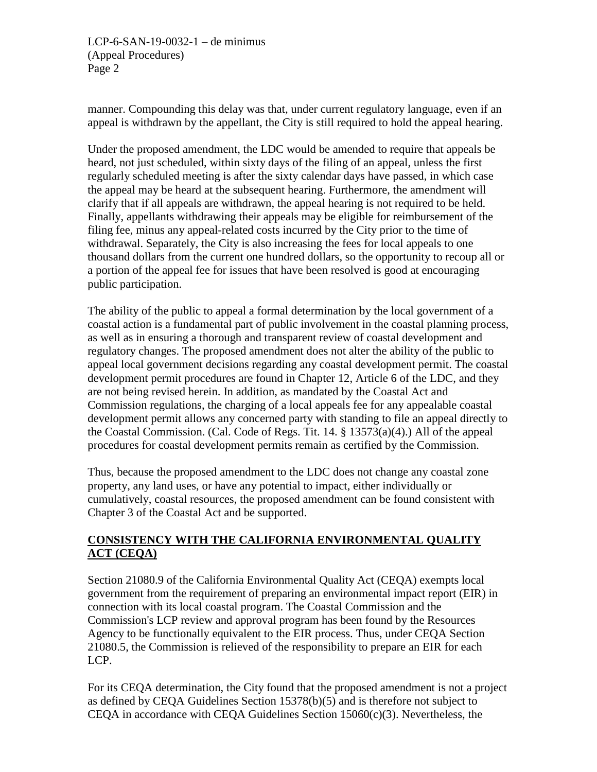LCP-6-SAN-19-0032-1 – de minimus (Appeal Procedures) Page 2

manner. Compounding this delay was that, under current regulatory language, even if an appeal is withdrawn by the appellant, the City is still required to hold the appeal hearing.

Under the proposed amendment, the LDC would be amended to require that appeals be heard, not just scheduled, within sixty days of the filing of an appeal, unless the first regularly scheduled meeting is after the sixty calendar days have passed, in which case the appeal may be heard at the subsequent hearing. Furthermore, the amendment will clarify that if all appeals are withdrawn, the appeal hearing is not required to be held. Finally, appellants withdrawing their appeals may be eligible for reimbursement of the filing fee, minus any appeal-related costs incurred by the City prior to the time of withdrawal. Separately, the City is also increasing the fees for local appeals to one thousand dollars from the current one hundred dollars, so the opportunity to recoup all or a portion of the appeal fee for issues that have been resolved is good at encouraging public participation.

The ability of the public to appeal a formal determination by the local government of a coastal action is a fundamental part of public involvement in the coastal planning process, as well as in ensuring a thorough and transparent review of coastal development and regulatory changes. The proposed amendment does not alter the ability of the public to appeal local government decisions regarding any coastal development permit. The coastal development permit procedures are found in Chapter 12, Article 6 of the LDC, and they are not being revised herein. In addition, as mandated by the Coastal Act and Commission regulations, the charging of a local appeals fee for any appealable coastal development permit allows any concerned party with standing to file an appeal directly to the Coastal Commission. (Cal. Code of Regs. Tit. 14. § 13573(a)(4).) All of the appeal procedures for coastal development permits remain as certified by the Commission.

Thus, because the proposed amendment to the LDC does not change any coastal zone property, any land uses, or have any potential to impact, either individually or cumulatively, coastal resources, the proposed amendment can be found consistent with Chapter 3 of the Coastal Act and be supported.

## **CONSISTENCY WITH THE CALIFORNIA ENVIRONMENTAL QUALITY ACT (CEQA)**

Section 21080.9 of the California Environmental Quality Act (CEQA) exempts local government from the requirement of preparing an environmental impact report (EIR) in connection with its local coastal program. The Coastal Commission and the Commission's LCP review and approval program has been found by the Resources Agency to be functionally equivalent to the EIR process. Thus, under CEQA Section 21080.5, the Commission is relieved of the responsibility to prepare an EIR for each LCP.

For its CEQA determination, the City found that the proposed amendment is not a project as defined by CEQA Guidelines Section 15378(b)(5) and is therefore not subject to CEOA in accordance with CEOA Guidelines Section  $15060(c)(3)$ . Nevertheless, the